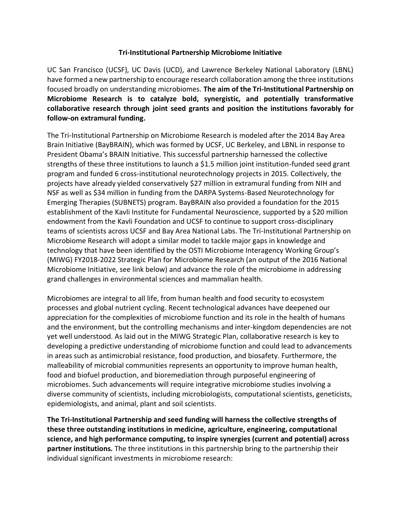## **Tri-Institutional Partnership Microbiome Initiative**

UC San Francisco (UCSF), UC Davis (UCD), and Lawrence Berkeley National Laboratory (LBNL) have formed a new partnership to encourage research collaboration among the three institutions focused broadly on understanding microbiomes. **The aim of the Tri-Institutional Partnership on Microbiome Research is to catalyze bold, synergistic, and potentially transformative collaborative research through joint seed grants and position the institutions favorably for follow-on extramural funding.**

The Tri-Institutional Partnership on Microbiome Research is modeled after the 2014 Bay Area Brain Initiative (BayBRAIN), which was formed by UCSF, UC Berkeley, and LBNL in response to President Obama's BRAIN Initiative. This successful partnership harnessed the collective strengths of these three institutions to launch a \$1.5 million joint institution-funded seed grant program and funded 6 cross-institutional neurotechnology projects in 2015. Collectively, the projects have already yielded conservatively \$27 million in extramural funding from NIH and NSF as well as \$34 million in funding from the DARPA Systems-Based Neurotechnology for Emerging Therapies (SUBNETS) program. BayBRAIN also provided a foundation for the 2015 establishment of the [Kavli Institute for Fundamental Neuroscience,](http://www.kavlifoundation.org/university-california-san-francisco) supported by a \$20 million endowment from the Kavli Foundation and UCSF to continue to support cross-disciplinary teams of scientists across UCSF and Bay Area National Labs. The Tri-Institutional Partnership on Microbiome Research will adopt a similar model to tackle major gaps in knowledge and technology that have been identified by the OSTI Microbiome Interagency Working Group's (MIWG) FY2018-2022 Strategic Plan for Microbiome Research (an output of the 2016 National Microbiome Initiative, see link below) and advance the role of the microbiome in addressing grand challenges in environmental sciences and mammalian health.

Microbiomes are integral to all life, from human health and food security to ecosystem processes and global nutrient cycling. Recent technological advances have deepened our appreciation for the complexities of microbiome function and its role in the health of humans and the environment, but the controlling mechanisms and inter-kingdom dependencies are not yet well understood. As laid out in the MIWG Strategic Plan, collaborative research is key to developing a predictive understanding of microbiome function and could lead to advancements in areas such as antimicrobial resistance, food production, and biosafety. Furthermore, the malleability of microbial communities represents an opportunity to improve human health, food and biofuel production, and bioremediation through purposeful engineering of microbiomes. Such advancements will require integrative microbiome studies involving a diverse community of scientists, including microbiologists, computational scientists, geneticists, epidemiologists, and animal, plant and soil scientists.

**The Tri-Institutional Partnership and seed funding will harness the collective strengths of these three outstanding institutions in medicine, agriculture, engineering, computational science, and high performance computing, to inspire synergies (current and potential) across partner institutions.** The three institutions in this partnership bring to the partnership their individual significant investments in microbiome research: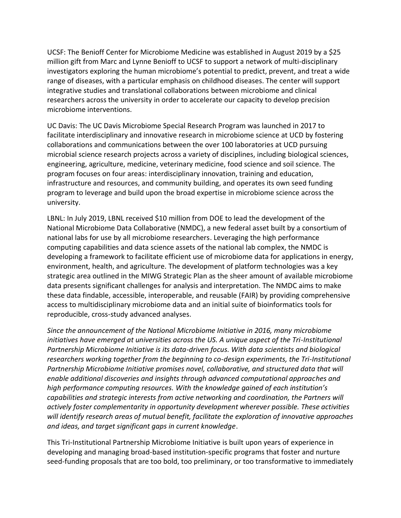UCSF: The Benioff Center for Microbiome Medicine was established in August 2019 by a \$25 million gift from Marc and Lynne Benioff to UCSF to support a network of multi-disciplinary investigators exploring the human microbiome's potential to predict, prevent, and treat a wide range of diseases, with a particular emphasis on childhood diseases. The center will support integrative studies and translational collaborations between microbiome and clinical researchers across the university in order to accelerate our capacity to develop precision microbiome interventions.

UC Davis: The UC Davis Microbiome Special Research Program was launched in 2017 to facilitate interdisciplinary and innovative research in microbiome science at UCD by fostering collaborations and communications between the over 100 laboratories at UCD pursuing microbial science research projects across a variety of disciplines, including biological sciences, engineering, agriculture, medicine, veterinary medicine, food science and soil science. The program focuses on four areas: interdisciplinary innovation, training and education, infrastructure and resources, and community building, and operates its own seed funding program to leverage and build upon the broad expertise in microbiome science across the university.

LBNL: In July 2019, LBNL received \$10 million from DOE to lead the development of the National Microbiome Data Collaborative (NMDC), a new federal asset built by a consortium of national labs for use by all microbiome researchers. Leveraging the high performance computing capabilities and data science assets of the national lab complex, the NMDC is developing a framework to facilitate efficient use of microbiome data for applications in energy, environment, health, and agriculture. The development of platform technologies was a key strategic area outlined in the MIWG Strategic Plan as the sheer amount of available microbiome data presents significant challenges for analysis and interpretation. The NMDC aims to make these data findable, accessible, interoperable, and reusable (FAIR) by providing comprehensive access to multidisciplinary microbiome data and an initial suite of bioinformatics tools for reproducible, cross-study advanced analyses.

*Since the announcement of the National Microbiome Initiative in 2016, many microbiome initiatives have emerged at universities across the US. A unique aspect of the Tri-Institutional Partnership Microbiome Initiative is its data-driven focus. With data scientists and biological researchers working together from the beginning to co-design experiments, the Tri-Institutional Partnership Microbiome Initiative promises novel, collaborative, and structured data that will enable additional discoveries and insights through advanced computational approaches and high performance computing resources. With the knowledge gained of each institution's capabilities and strategic interests from active networking and coordination, the Partners will actively foster complementarity in opportunity development wherever possible. These activities will identify research areas of mutual benefit, facilitate the exploration of innovative approaches and ideas, and target significant gaps in current knowledge*.

This Tri-Institutional Partnership Microbiome Initiative is built upon years of experience in developing and managing broad-based institution-specific programs that foster and nurture seed-funding proposals that are too bold, too preliminary, or too transformative to immediately